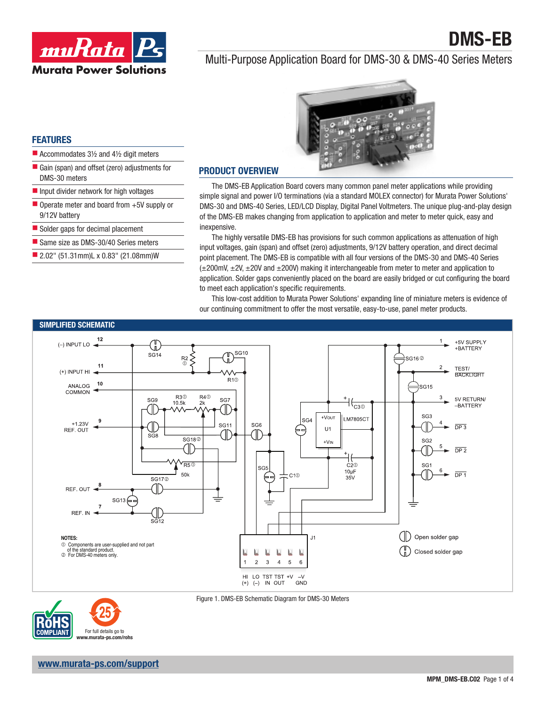



# Multi-Purpose Application Board for DMS-30 & DMS-40 Series Meters



## FEATURES

- Accommodates  $3\frac{1}{2}$  and  $4\frac{1}{2}$  digit meters
- Gain (span) and offset (zero) adjustments for DMS-30 meters
- **Input divider network for high voltages**
- $\blacksquare$  Operate meter and board from  $+5V$  supply or 9/12V battery
- Solder gaps for decimal placement
- Same size as DMS-30/40 Series meters
- 2.02" (51.31mm)L x 0.83" (21.08mm)W

## PRODUCT OVERVIEW

The DMS-EB Application Board covers many common panel meter applications while providing simple signal and power I/O terminations (via a standard MOLEX connector) for Murata Power Solutions' DMS-30 and DMS-40 Series, LED/LCD Display, Digital Panel Voltmeters. The unique plug-and-play design of the DMS-EB makes changing from application to application and meter to meter quick, easy and inexpensive.

The highly versatile DMS-EB has provisions for such common applications as attenuation of high input voltages, gain (span) and offset (zero) adjustments, 9/12V battery operation, and direct decimal point placement. The DMS-EB is compatible with all four versions of the DMS-30 and DMS-40 Series  $(\pm 200 \text{mV}, \pm 2V, \pm 20V$  and  $\pm 200$ V) making it interchangeable from meter to meter and application to application. Solder gaps conveniently placed on the board are easily bridged or cut configuring the board to meet each application's specific requirements.

This low-cost addition to Murata Power Solutions' expanding line of miniature meters is evidence of our continuing commitment to offer the most versatile, easy-to-use, panel meter products.





Figure 1. DMS-EB Schematic Diagram for DMS-30 Meters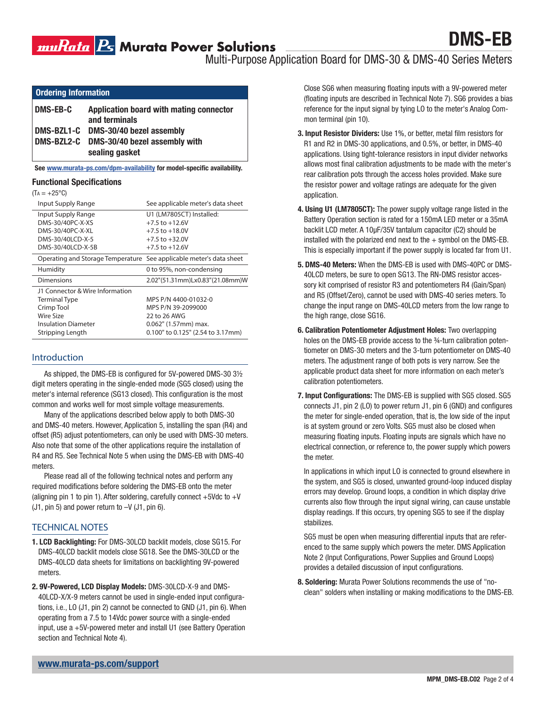Multi-Purpose Application Board for DMS-30 & DMS-40 Series Meters

| <b>Ordering Information</b> |
|-----------------------------|
|                             |
|                             |

| DMS-EB-C | Application board with mating connector<br>and terminals   |
|----------|------------------------------------------------------------|
|          | DMS-BZL1-C DMS-30/40 bezel assembly                        |
|          | DMS-BZL2-C DMS-30/40 bezel assembly with<br>sealing gasket |

See www.murata-ps.com/dpm-availability for model-specific availability.

#### Functional Specifications

| (Ta = | +25°C |
|-------|-------|
|-------|-------|

| Input Supply Range                                                  | See applicable meter's data sheet |
|---------------------------------------------------------------------|-----------------------------------|
| Input Supply Range                                                  | U1 (LM7805CT) Installed:          |
| DMS-30/40PC-X-XS                                                    | $+7.5$ to $+12.6V$                |
| DMS-30/40PC-X-XL                                                    | $+7.5$ to $+18.0V$                |
| DMS-30/40LCD-X-5                                                    | $+7.5$ to $+32.0$ V               |
| DMS-30/40LCD-X-5B                                                   | $+7.5$ to $+12.6V$                |
| Operating and Storage Temperature See applicable meter's data sheet |                                   |
| Humidity                                                            | 0 to 95%, non-condensing          |
| Dimensions                                                          | 2.02"(51.31mm)Lx0.83"(21.08mm)W   |
| J1 Connector & Wire Information                                     |                                   |
| <b>Terminal Type</b>                                                | MPS P/N 4400-01032-0              |
| Crimp Tool                                                          | MPS P/N 39-2099000                |
| Wire Size                                                           | 22 to 26 AWG                      |
| <b>Insulation Diameter</b>                                          | $0.062"$ (1.57mm) max.            |
| Stripping Length                                                    | 0.100" to 0.125" (2.54 to 3.17mm) |

## Introduction

As shipped, the DMS-EB is configured for 5V-powered DMS-30 3½ digit meters operating in the single-ended mode (SG5 closed) using the meter's internal reference (SG13 closed). This configuration is the most common and works well for most simple voltage measurements.

Many of the applications described below apply to both DMS-30 and DMS-40 meters. However, Application 5, installing the span (R4) and offset (R5) adjust potentiometers, can only be used with DMS-30 meters. Also note that some of the other applications require the installation of R4 and R5. See Technical Note 5 when using the DMS-EB with DMS-40 meters.

Please read all of the following technical notes and perform any required modifications before soldering the DMS-EB onto the meter (aligning pin 1 to pin 1). After soldering, carefully connect  $+5$ Vdc to  $+V$  $(J1, \text{pin } 5)$  and power return to  $-V$   $(J1, \text{pin } 6)$ .

## TECHNICAL NOTES

- 1. LCD Backlighting: For DMS-30LCD backlit models, close SG15. For DMS-40LCD backlit models close SG18. See the DMS-30LCD or the DMS-40LCD data sheets for limitations on backlighting 9V-powered meters.
- 2. 9V-Powered, LCD Display Models: DMS-30LCD-X-9 and DMS-40LCD-X/X-9 meters cannot be used in single-ended input configurations, i.e., LO (J1, pin 2) cannot be connected to GND (J1, pin 6). When operating from a 7.5 to 14Vdc power source with a single-ended input, use a +5V-powered meter and install U1 (see Battery Operation section and Technical Note 4).

Close SG6 when measuring floating inputs with a 9V-powered meter (floating inputs are described in Technical Note 7). SG6 provides a bias reference for the input signal by tying LO to the meter's Analog Common terminal (pin 10).

- 3. Input Resistor Dividers: Use 1%, or better, metal film resistors for R1 and R2 in DMS-30 applications, and 0.5%, or better, in DMS-40 applications. Using tight-tolerance resistors in input divider networks allows most final calibration adjustments to be made with the meter's rear calibration pots through the access holes provided. Make sure the resistor power and voltage ratings are adequate for the given application.
- 4. Using U1 (LM7805CT): The power supply voltage range listed in the Battery Operation section is rated for a 150mA LED meter or a 35mA backlit LCD meter. A 10μF/35V tantalum capacitor (C2) should be installed with the polarized end next to the  $+$  symbol on the DMS-EB. This is especially important if the power supply is located far from U1.
- 5. DMS-40 Meters: When the DMS-EB is used with DMS-40PC or DMS-40LCD meters, be sure to open SG13. The RN-DMS resistor accessory kit comprised of resistor R3 and potentiometers R4 (Gain/Span) and R5 (Offset/Zero), cannot be used with DMS-40 series meters. To change the input range on DMS-40LCD meters from the low range to the high range, close SG16.
- 6. Calibration Potentiometer Adjustment Holes: Two overlapping holes on the DMS-EB provide access to the 34-turn calibration potentiometer on DMS-30 meters and the 3-turn potentiometer on DMS-40 meters. The adjustment range of both pots is very narrow. See the applicable product data sheet for more information on each meter's calibration potentiometers.
- 7. Input Configurations: The DMS-EB is supplied with SG5 closed. SG5 connects J1, pin 2 (LO) to power return J1, pin 6 (GND) and configures the meter for single-ended operation, that is, the low side of the input is at system ground or zero Volts. SG5 must also be closed when measuring floating inputs. Floating inputs are signals which have no electrical connection, or reference to, the power supply which powers the meter.

In applications in which input LO is connected to ground elsewhere in the system, and SG5 is closed, unwanted ground-loop induced display errors may develop. Ground loops, a condition in which display drive currents also flow through the input signal wiring, can cause unstable display readings. If this occurs, try opening SG5 to see if the display stabilizes.

SG5 must be open when measuring differential inputs that are referenced to the same supply which powers the meter. DMS Application Note 2 (Input Configurations, Power Supplies and Ground Loops) provides a detailed discussion of input configurations.

8. Soldering: Murata Power Solutions recommends the use of "noclean" solders when installing or making modifications to the DMS-EB.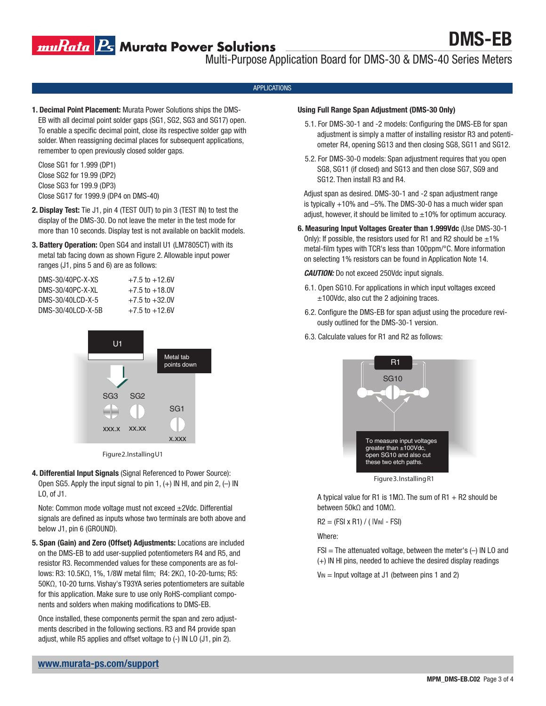muRata B Murata Power Solutions

DMS-EB

Multi-Purpose Application Board for DMS-30 & DMS-40 Series Meters

#### APPLICATIONS

1. Decimal Point Placement: Murata Power Solutions ships the DMS-EB with all decimal point solder gaps (SG1, SG2, SG3 and SG17) open. To enable a specific decimal point, close its respective solder gap with solder. When reassigning decimal places for subsequent applications, remember to open previously closed solder gaps.

Close SG1 for 1.999 (DP1) Close SG2 for 19.99 (DP2) Close SG3 for 199.9 (DP3) Close SG17 for 1999.9 (DP4 on DMS-40)

- 2. Display Test: Tie J1, pin 4 (TEST OUT) to pin 3 (TEST IN) to test the display of the DMS-30. Do not leave the meter in the test mode for more than 10 seconds. Display test is not available on backlit models.
- 3. Battery Operation: Open SG4 and install U1 (LM7805CT) with its metal tab facing down as shown Figure 2. Allowable input power ranges (J1, pins 5 and 6) are as follows:

| DMS-30/40PC-X-XS   | $+7.5$ to $+12.6$ V |
|--------------------|---------------------|
| DMS-30/40PC-X-XI   | $+7.5$ to $+18.0V$  |
| DMS-30/40LCD-X-5   | $+7.5$ to $+32.0V$  |
| DMS-30/401 CD-X-5B | $+7.5$ to $+12.6V$  |



Figure 2. Installing U1

4. Differential Input Signals (Signal Referenced to Power Source): Open SG5. Apply the input signal to pin 1,  $(+)$  IN HI, and pin 2,  $(-)$  IN LO, of J1.

Note: Common mode voltage must not exceed ±2Vdc. Differential signals are defined as inputs whose two terminals are both above and below J1, pin 6 (GROUND).

5. Span (Gain) and Zero (Offset) Adjustments: Locations are included on the DMS-EB to add user-supplied potentiometers R4 and R5, and resistor R3. Recommended values for these components are as follows: R3: 10.5KΩ, 1%, 1/8W metal film; R4: 2KΩ, 10-20-turns; R5: 50KΩ, 10-20 turns. Vishay's T93YA series potentiometers are suitable for this application. Make sure to use only RoHS-compliant components and solders when making modifications to DMS-EB.

Once installed, these components permit the span and zero adjustments described in the following sections. R3 and R4 provide span adjust, while R5 applies and offset voltage to (-) IN LO (J1, pin 2).

#### Using Full Range Span Adjustment (DMS-30 Only)

- 5.1. For DMS-30-1 and -2 models: Configuring the DMS-EB for span adjustment is simply a matter of installing resistor R3 and potentiometer R4, opening SG13 and then closing SG8, SG11 and SG12.
- 5.2. For DMS-30-0 models: Span adjustment requires that you open SG8, SG11 (if closed) and SG13 and then close SG7, SG9 and SG12. Then install R3 and R4.

Adjust span as desired. DMS-30-1 and -2 span adjustment range is typically +10% and –5%. The DMS-30-0 has a much wider span adjust, however, it should be limited to  $\pm 10\%$  for optimum accuracy.

6. Measuring Input Voltages Greater than 1.999Vdc (Use DMS-30-1 Only): If possible, the resistors used for R1 and R2 should be  $\pm 1\%$ metal-film types with TCR's less than 100ppm/°C. More information on selecting 1% resistors can be found in Application Note 14.

#### *CAUTION:* Do not exceed 250Vdc input signals.

- 6.1. Open SG10. For applications in which input voltages exceed ±100Vdc, also cut the 2 adjoining traces.
- 6.2. Configure the DMS-EB for span adjust using the procedure reviously outlined for the DMS-30-1 version.
- 6.3. Calculate values for R1 and R2 as follows:



Figure 3. Installing R1

A typical value for R1 is 1M $\Omega$ . The sum of R1 + R2 should be between 50kΩ and 10MΩ.

 $R2 = (FSI \times R1) / (|V_{IN} - FSI)$ 

Where:

 $FSI = The attenuated voltage, between the meter's  $(-)$  IN LO and$ (+) IN HI pins, needed to achieve the desired display readings

 $V_{\text{IN}}$  = Input voltage at J1 (between pins 1 and 2)